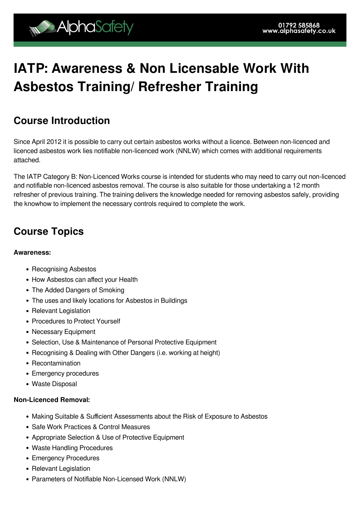# **IATP: Awareness & Non Licensable Work With Asbestos Training/ Refresher Training**

## **Course Introduction**

Since April 2012 it is possible to carry out certain asbestos works without a licence. Between non-licenced and licenced asbestos work lies notifiable non-licenced work (NNLW) which comes with additional requirements attached.

The IATP Category B: Non-Licenced Works course is intended for students who may need to carry out non-licenced and notifiable non-licenced asbestos removal. The course is also suitable for those undertaking a 12 month refresher of previous training. The training delivers the knowledge needed for removing asbestos safely, providing the knowhow to implement the necessary controls required to complete the work.

# **Course Topics**

#### **Awareness:**

- Recognising Asbestos
- How Asbestos can affect your Health
- The Added Dangers of Smoking
- The uses and likely locations for Asbestos in Buildings
- Relevant Legislation
- Procedures to Protect Yourself
- Necessary Equipment
- Selection, Use & Maintenance of Personal Protective Equipment
- Recognising & Dealing with Other Dangers (i.e. working at height)
- Recontamination
- Emergency procedures
- Waste Disposal

#### **Non-Licenced Removal:**

- Making Suitable & Sufficient Assessments about the Risk of Exposure to Asbestos
- Safe Work Practices & Control Measures
- Appropriate Selection & Use of Protective Equipment
- Waste Handling Procedures
- Emergency Procedures
- Relevant Legislation
- Parameters of Notifiable Non-Licensed Work (NNLW)